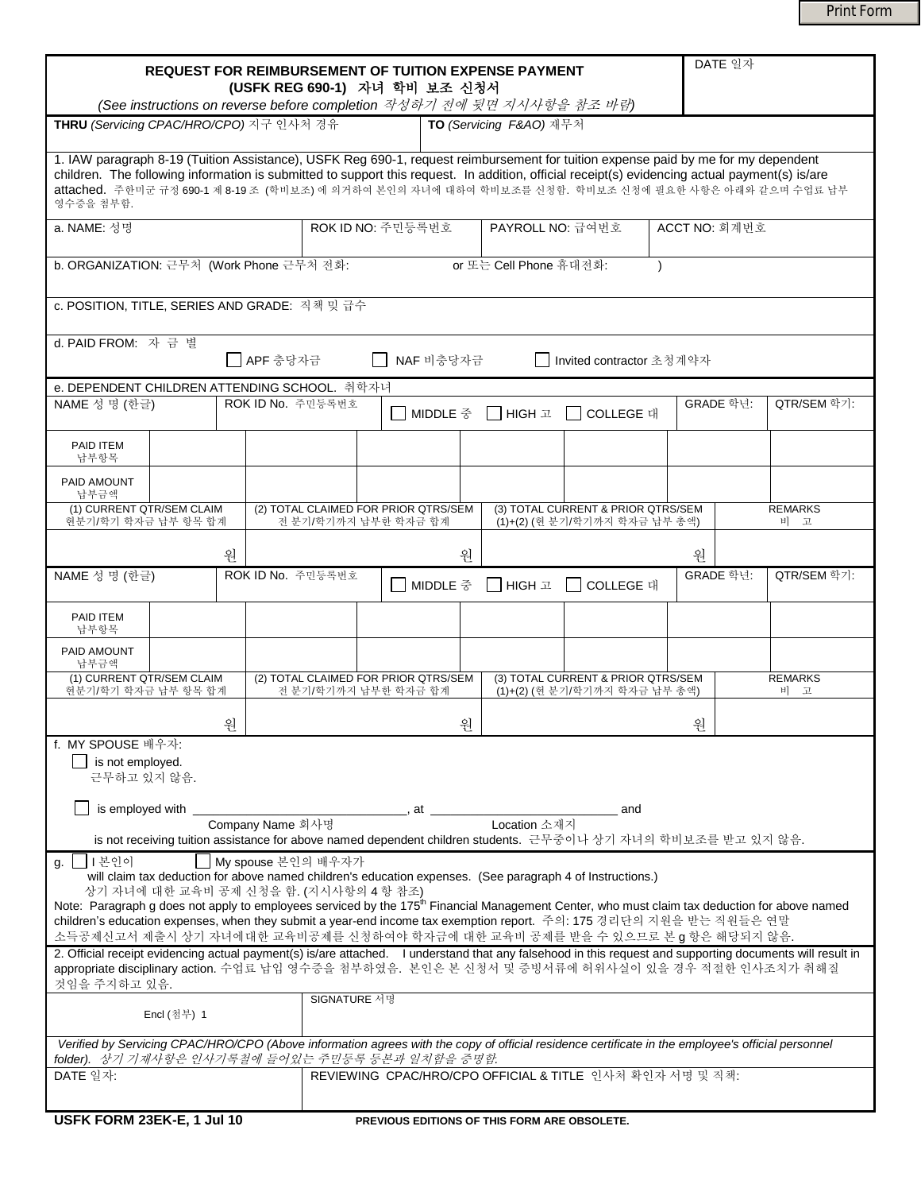Print Form

| <b>REQUEST FOR REIMBURSEMENT OF TUITION EXPENSE PAYMENT</b><br>(USFK REG 690-1) 자녀 학비 보조 신청서<br>(See instructions on reverse before completion 작성하기 전에 뒷면 지시사항을 참조 바람)                                                                                                                                                                                                                                    |   |                                                                                                 |   |          |                                                                     |                                                                     |                                                | DATE 일자                                                                                                                                                   |
|-----------------------------------------------------------------------------------------------------------------------------------------------------------------------------------------------------------------------------------------------------------------------------------------------------------------------------------------------------------------------------------------------------------|---|-------------------------------------------------------------------------------------------------|---|----------|---------------------------------------------------------------------|---------------------------------------------------------------------|------------------------------------------------|-----------------------------------------------------------------------------------------------------------------------------------------------------------|
| THRU (Servicing CPAC/HRO/CPO) 지구 인사처 경유<br>TO (Servicing F&AO) 재무처                                                                                                                                                                                                                                                                                                                                        |   |                                                                                                 |   |          |                                                                     |                                                                     |                                                |                                                                                                                                                           |
| 1. IAW paragraph 8-19 (Tuition Assistance), USFK Reg 690-1, request reimbursement for tuition expense paid by me for my dependent<br>children. The following information is submitted to support this request. In addition, official receipt(s) evidencing actual payment(s) is/are<br>attached. 주한미군 규정 690-1 제 8-19 조 (학비보조) 에 의거하여 본인의 자녀에 대하여 학비보조를 신청함. 학비보조 신청에 필요한 사항은 아래와 같으며 수업료 납부<br>영수증을 첨부함. |   |                                                                                                 |   |          |                                                                     |                                                                     |                                                |                                                                                                                                                           |
| ROK ID NO: 주민등록번호<br>PAYROLL NO: 급여번호<br>a. NAME: 성명<br>ACCT NO: 회계번호                                                                                                                                                                                                                                                                                                                                     |   |                                                                                                 |   |          |                                                                     |                                                                     |                                                |                                                                                                                                                           |
| b. ORGANIZATION: 근무처 (Work Phone 근무처 전화:<br>or 또는 Cell Phone 휴대전화:                                                                                                                                                                                                                                                                                                                                        |   |                                                                                                 |   |          |                                                                     |                                                                     |                                                |                                                                                                                                                           |
| c. POSITION, TITLE, SERIES AND GRADE: 직책 밎 급수                                                                                                                                                                                                                                                                                                                                                             |   |                                                                                                 |   |          |                                                                     |                                                                     |                                                |                                                                                                                                                           |
| d. PAID FROM: 자금별<br>■ APF 충당자금<br>NAF 비충당자금<br>│   Invited contractor 초청계약자                                                                                                                                                                                                                                                                                                                              |   |                                                                                                 |   |          |                                                                     |                                                                     |                                                |                                                                                                                                                           |
|                                                                                                                                                                                                                                                                                                                                                                                                           |   | e. DEPENDENT CHILDREN ATTENDING SCHOOL. 취학자녀                                                    |   |          |                                                                     |                                                                     |                                                |                                                                                                                                                           |
| NAME 성 명 (한글)                                                                                                                                                                                                                                                                                                                                                                                             |   | ROK ID No. 주민등록번호                                                                               |   | MIDDLE 중 | IIHIGH 고                                                            | COLLEGE 대                                                           | GRADE 학년:                                      | QTR/SEM 학기:                                                                                                                                               |
| PAID ITEM<br>납부항목                                                                                                                                                                                                                                                                                                                                                                                         |   |                                                                                                 |   |          |                                                                     |                                                                     |                                                |                                                                                                                                                           |
| PAID AMOUNT<br>납부금액                                                                                                                                                                                                                                                                                                                                                                                       |   |                                                                                                 |   |          |                                                                     |                                                                     |                                                |                                                                                                                                                           |
| (1) CURRENT QTR/SEM CLAIM<br>현분기/학기 학자금 납부 항목 합계                                                                                                                                                                                                                                                                                                                                                          |   | (2) TOTAL CLAIMED FOR PRIOR QTRS/SEM<br>전 분기/학기까지 납부한 학자금 합계                                    |   |          |                                                                     | (3) TOTAL CURRENT & PRIOR QTRS/SEM<br>(1)+(2) (현 분기/학기까지 학자금 납부 총액) |                                                | <b>REMARKS</b><br>비 고                                                                                                                                     |
|                                                                                                                                                                                                                                                                                                                                                                                                           | 워 |                                                                                                 |   | 원        |                                                                     |                                                                     | 워                                              |                                                                                                                                                           |
| NAME 성 명 (한글)                                                                                                                                                                                                                                                                                                                                                                                             |   | ROK ID No. 주민등록번호                                                                               |   | MIDDLE 중 | <b>HIGH</b> 고                                                       | COLLEGE 대                                                           | GRADE 학년:                                      | QTR/SEM 학기:                                                                                                                                               |
| PAID ITEM<br>납부항목                                                                                                                                                                                                                                                                                                                                                                                         |   |                                                                                                 |   |          |                                                                     |                                                                     |                                                |                                                                                                                                                           |
| PAID AMOUNT<br>납부금액                                                                                                                                                                                                                                                                                                                                                                                       |   |                                                                                                 |   |          |                                                                     |                                                                     |                                                |                                                                                                                                                           |
| (1) CURRENT QTR/SEM CLAIM<br>현분기/학기 학자금 납부 항목 합계                                                                                                                                                                                                                                                                                                                                                          |   | (2) TOTAL CLAIMED FOR PRIOR QTRS/SEM<br>전 분기/학기까지 납부한 학자금 합계                                    |   |          | (3) TOTAL CURRENT & PRIOR QTRS/SEM<br>(1)+(2) (현 분기/학기까지 학자금 납부 총액) |                                                                     | <b>REMARKS</b><br>비<br>$\overline{\mathbf{u}}$ |                                                                                                                                                           |
|                                                                                                                                                                                                                                                                                                                                                                                                           | 원 |                                                                                                 | 원 |          |                                                                     | 원                                                                   |                                                |                                                                                                                                                           |
| f. MY SPOUSE 배우자:<br>is not employed.<br>근무하고 있지 않음.                                                                                                                                                                                                                                                                                                                                                      |   |                                                                                                 |   |          |                                                                     |                                                                     |                                                |                                                                                                                                                           |
| is employed with _<br>at<br>and                                                                                                                                                                                                                                                                                                                                                                           |   |                                                                                                 |   |          |                                                                     |                                                                     |                                                |                                                                                                                                                           |
| Company Name 회사명<br>Location 소재지<br>is not receiving tuition assistance for above named dependent children students. 근무중이나 상기 자녀의 학비보조를 받고 있지 않음.                                                                                                                                                                                                                                                         |   |                                                                                                 |   |          |                                                                     |                                                                     |                                                |                                                                                                                                                           |
| My spouse 본인의 배우자가<br>g.       본인이<br>will claim tax deduction for above named children's education expenses. (See paragraph 4 of Instructions.)<br>상기 자녀에 대한 교육비 공제 신청을 함. (지시사항의 4 항 참조)                                                                                                                                                                                                                |   |                                                                                                 |   |          |                                                                     |                                                                     |                                                |                                                                                                                                                           |
| Note: Paragraph g does not apply to employees serviced by the 175 <sup>th</sup> Financial Management Center, who must claim tax deduction for above named<br>children's education expenses, when they submit a year-end income tax exemption report. 주의: 175 경리단의 지원을 받는 직원들은 연말<br>소득공제신고서 제출시 상기 자녀에대한 교육비공제를 신청하여야 학자금에 대한 교육비 공제를 받을 수 있으므로 본 g 항은 해당되지 않음.                                           |   |                                                                                                 |   |          |                                                                     |                                                                     |                                                |                                                                                                                                                           |
| 것임을 주지하고 있음.                                                                                                                                                                                                                                                                                                                                                                                              |   | appropriate disciplinary action. 수업료 납입 영수증을 첨부하였음. 본인은 본 신청서 및 증빙서류에 허위사실이 있을 경우 적절한 인사조치가 취해질 |   |          |                                                                     |                                                                     |                                                | 2. Official receipt evidencing actual payment(s) is/are attached. I understand that any falsehood in this request and supporting documents will result in |
| SIGNATURE 서명<br>Encl (첨부) 1                                                                                                                                                                                                                                                                                                                                                                               |   |                                                                                                 |   |          |                                                                     |                                                                     |                                                |                                                                                                                                                           |
| Verified by Servicing CPAC/HRO/CPO (Above information agrees with the copy of official residence certificate in the employee's official personnel<br>folder). 상기 기재사항은 인사기록철에 들어있는 주민등록 등본과 일치함을 증명함.                                                                                                                                                                                                     |   |                                                                                                 |   |          |                                                                     |                                                                     |                                                |                                                                                                                                                           |
| DATE 일자:<br>REVIEWING CPAC/HRO/CPO OFFICIAL & TITLE 인사처 확인자 서명 및 직책:                                                                                                                                                                                                                                                                                                                                      |   |                                                                                                 |   |          |                                                                     |                                                                     |                                                |                                                                                                                                                           |
|                                                                                                                                                                                                                                                                                                                                                                                                           |   |                                                                                                 |   |          |                                                                     |                                                                     |                                                |                                                                                                                                                           |